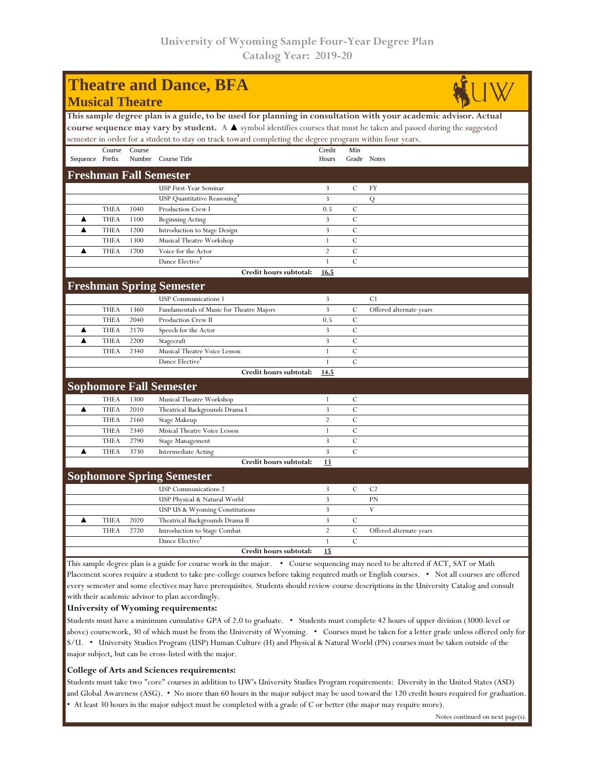| <b>Theatre and Dance, BFA</b>                                                                                                        |             |        |                                                |                |               |                         |  |  |  |  |  |
|--------------------------------------------------------------------------------------------------------------------------------------|-------------|--------|------------------------------------------------|----------------|---------------|-------------------------|--|--|--|--|--|
| <b>Musical Theatre</b>                                                                                                               |             |        |                                                |                |               |                         |  |  |  |  |  |
| This sample degree plan is a guide, to be used for planning in consultation with your academic advisor. Actual                       |             |        |                                                |                |               |                         |  |  |  |  |  |
| course sequence may vary by student. A $\blacktriangle$ symbol identifies courses that must be taken and passed during the suggested |             |        |                                                |                |               |                         |  |  |  |  |  |
| semester in order for a student to stay on track toward completing the degree program within four years.                             |             |        |                                                |                |               |                         |  |  |  |  |  |
|                                                                                                                                      | Course      | Course |                                                | Credit         | Min           |                         |  |  |  |  |  |
| Sequence Prefix                                                                                                                      |             |        | Number Course Title                            | Hours          | Grade Notes   |                         |  |  |  |  |  |
|                                                                                                                                      |             |        | <b>Freshman Fall Semester</b>                  |                |               |                         |  |  |  |  |  |
|                                                                                                                                      |             |        | USP First-Year Seminar                         | 3              | C             | FY                      |  |  |  |  |  |
|                                                                                                                                      |             |        | <b>USP</b> Quantitative Reasoning <sup>3</sup> | 3              |               | Q                       |  |  |  |  |  |
|                                                                                                                                      | <b>THEA</b> | 1040   | Production Crew I                              | 0.5            | C             |                         |  |  |  |  |  |
| ▲                                                                                                                                    | <b>THEA</b> | 1100   | <b>Beginning Acting</b>                        | 3              | C             |                         |  |  |  |  |  |
| ▲                                                                                                                                    | <b>THEA</b> | 1200   | Introduction to Stage Design                   | 3              | $\mathcal{C}$ |                         |  |  |  |  |  |
|                                                                                                                                      | <b>THEA</b> | 1300   | Musical Theatre Workshop                       | $\mathbf{1}$   | $\mathcal{C}$ |                         |  |  |  |  |  |
| ▲                                                                                                                                    | <b>THEA</b> | 1700   | Voice for the Actor                            | $\overline{2}$ | $\mathcal{C}$ |                         |  |  |  |  |  |
|                                                                                                                                      |             |        | Dance Elective                                 | $\mathbf{1}$   | $\mathcal{C}$ |                         |  |  |  |  |  |
|                                                                                                                                      |             |        | Credit hours subtotal:                         | 16.5           |               |                         |  |  |  |  |  |
|                                                                                                                                      |             |        | <b>Freshman Spring Semester</b>                |                |               |                         |  |  |  |  |  |
|                                                                                                                                      |             |        | USP Communications 1                           | 3              |               | C1                      |  |  |  |  |  |
|                                                                                                                                      | <b>THEA</b> | 1360   | Fundamentals of Music for Theatre Majors       | 3              | C             | Offered alternate years |  |  |  |  |  |
|                                                                                                                                      | <b>THEA</b> | 2040   | Production Crew II                             | 0.5            | $\mathcal{C}$ |                         |  |  |  |  |  |
| ▲                                                                                                                                    | <b>THEA</b> | 2170   | Speech for the Actor                           | 3              | $\mathcal{C}$ |                         |  |  |  |  |  |
| ▲                                                                                                                                    | <b>THEA</b> | 2200   | Stagecraft                                     | 3              | $\mathcal{C}$ |                         |  |  |  |  |  |
|                                                                                                                                      | <b>THEA</b> | 2340   | Musical Theatre Voice Lesson                   | $\mathbf{1}$   | $\mathcal{C}$ |                         |  |  |  |  |  |
|                                                                                                                                      |             |        | Dance Elective                                 | $\mathbf{1}$   | $\mathcal{C}$ |                         |  |  |  |  |  |
|                                                                                                                                      |             |        | Credit hours subtotal:                         | 14.5           |               |                         |  |  |  |  |  |
|                                                                                                                                      |             |        | <b>Sophomore Fall Semester</b>                 |                |               |                         |  |  |  |  |  |
|                                                                                                                                      | <b>THEA</b> | 1300   | Musical Theatre Workshop                       | $\mathbf{1}$   | $\mathcal{C}$ |                         |  |  |  |  |  |
| ▲                                                                                                                                    | <b>THEA</b> | 2010   | Theatrical Backgrounds Drama I                 | $\overline{3}$ | $\mathcal{C}$ |                         |  |  |  |  |  |
|                                                                                                                                      | <b>THEA</b> | 2160   | Stage Makeup                                   | $\overline{2}$ | $\mathcal{C}$ |                         |  |  |  |  |  |
|                                                                                                                                      | <b>THEA</b> | 2340   | Misical Theatre Voice Lesson                   | $\mathbf{1}$   | $\mathcal{C}$ |                         |  |  |  |  |  |
|                                                                                                                                      | <b>THEA</b> | 2790   | Stage Management                               | 3              | C             |                         |  |  |  |  |  |
| ▲                                                                                                                                    | <b>THEA</b> | 3730   | Intermediate Acting                            | 3              | $\mathcal{C}$ |                         |  |  |  |  |  |
|                                                                                                                                      |             |        | Credit hours subtotal:                         | 13             |               |                         |  |  |  |  |  |
|                                                                                                                                      |             |        | <b>Sophomore Spring Semester</b>               |                |               |                         |  |  |  |  |  |
|                                                                                                                                      |             |        | <b>USP</b> Communications 2                    | 3              | C             | C <sub>2</sub>          |  |  |  |  |  |
|                                                                                                                                      |             |        | USP Physical & Natural World                   | 3              |               | PN                      |  |  |  |  |  |
|                                                                                                                                      |             |        | USP US & Wyoming Constitutions                 | 3              |               | V                       |  |  |  |  |  |
| ▲                                                                                                                                    | <b>THEA</b> | 2020   | Theatrical Backgrounds Drama II                | 3              | C             |                         |  |  |  |  |  |
|                                                                                                                                      | <b>THEA</b> | 2720   | Introduction to Stage Combat                   | $\overline{2}$ | $\mathcal{C}$ | Offered alternate years |  |  |  |  |  |
|                                                                                                                                      |             |        | Dance Elective                                 | $\mathbf{1}$   | $\mathcal{C}$ |                         |  |  |  |  |  |
|                                                                                                                                      |             |        | Credit hours subtotal:                         | 15             |               |                         |  |  |  |  |  |
| This sample degree plan is a guide for course work in the major. • Course sequencing may need to be altered if ACT, SAT or Math      |             |        |                                                |                |               |                         |  |  |  |  |  |

Placement scores require a student to take pre-college courses before taking required math or English courses. • Not all courses are offered every semester and some electives may have prerequisites. Students should review course descriptions in the University Catalog and consult with their academic advisor to plan accordingly.

## **University of Wyoming requirements:**

Students must have a minimum cumulative GPA of 2.0 to graduate. • Students must complete 42 hours of upper division (3000-level or above) coursework, 30 of which must be from the University of Wyoming. • Courses must be taken for a letter grade unless offered only for S/U. • University Studies Program (USP) Human Culture (H) and Physical & Natural World (PN) courses must be taken outside of the major subject, but can be cross-listed with the major.

## **College of Arts and Sciences requirements:**

Students must take two "core" courses in addition to UW's University Studies Program requirements: Diversity in the United States (ASD) and Global Awareness (ASG). • No more than 60 hours in the major subject may be used toward the 120 credit hours required for graduation. • At least 30 hours in the major subject must be completed with a grade of C or better (the major may require more).